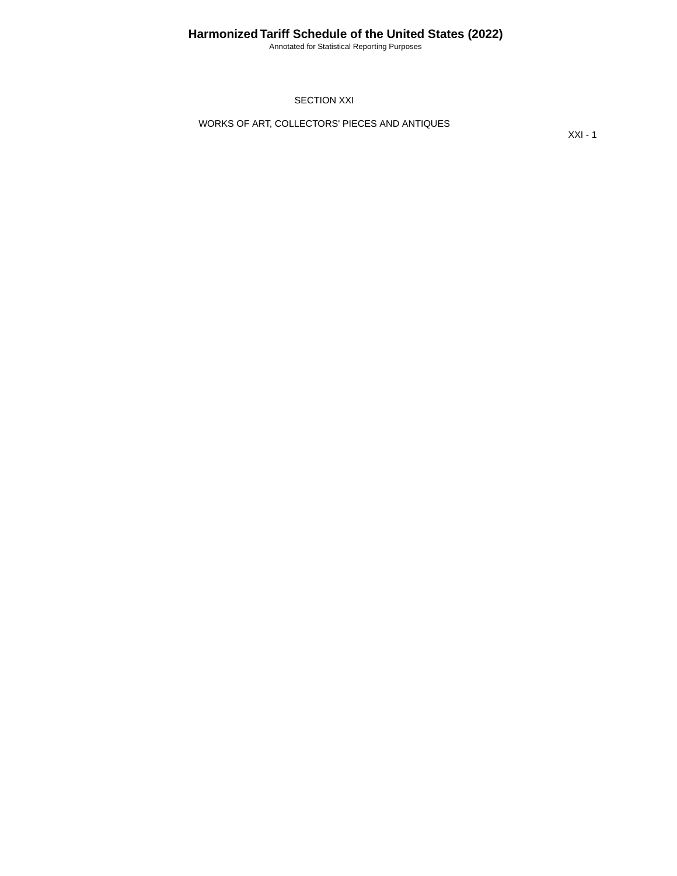Annotated for Statistical Reporting Purposes

SECTION XXI

WORKS OF ART, COLLECTORS' PIECES AND ANTIQUES

XXI - 1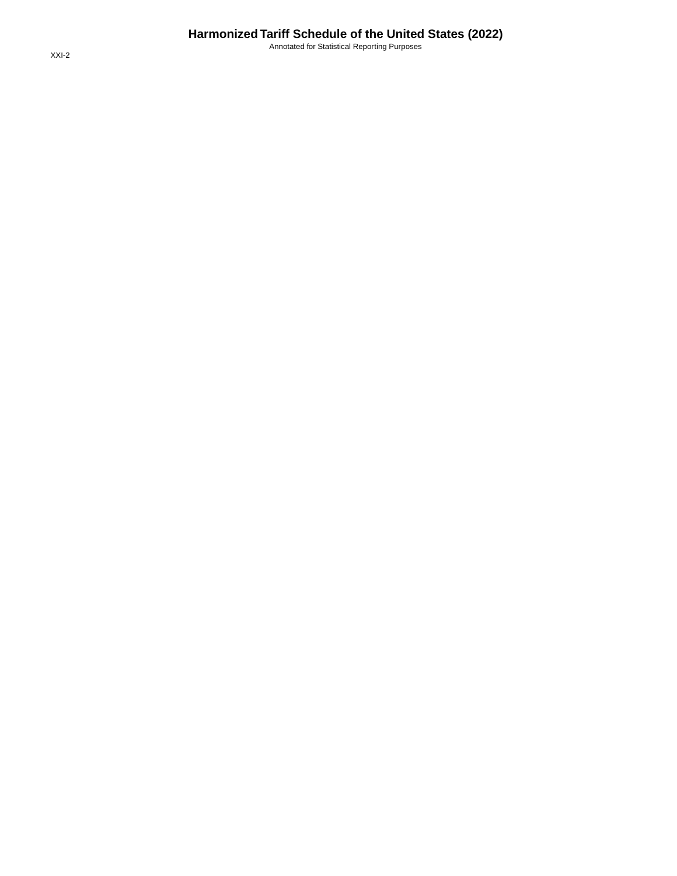Annotated for Statistical Reporting Purposes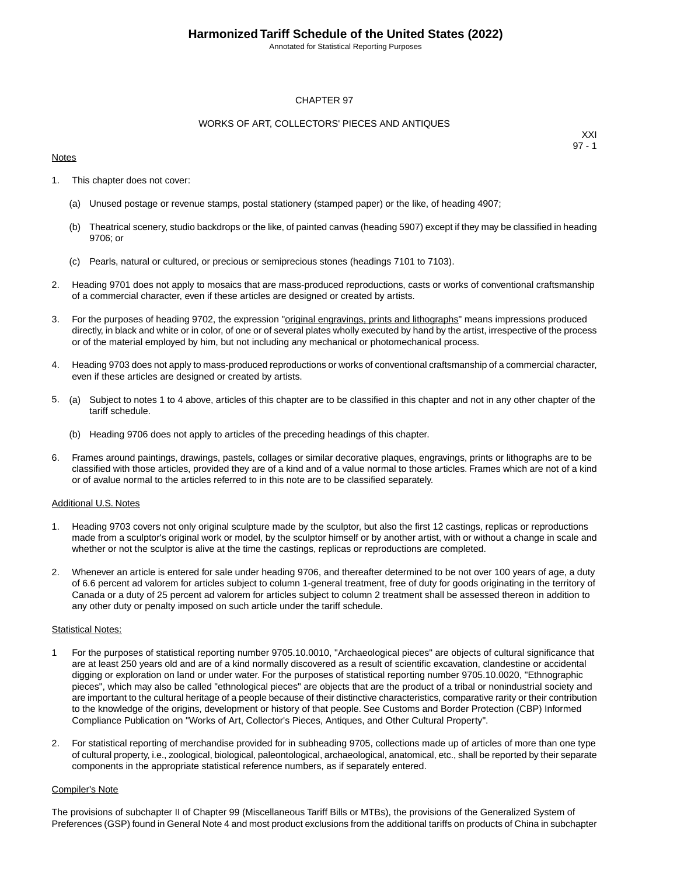Annotated for Statistical Reporting Purposes

### CHAPTER 97

#### WORKS OF ART, COLLECTORS' PIECES AND ANTIQUES

#### **Notes**

XXI 97 - 1

- 1. This chapter does not cover:
	- (a) Unused postage or revenue stamps, postal stationery (stamped paper) or the like, of heading 4907;
	- (b) Theatrical scenery, studio backdrops or the like, of painted canvas (heading 5907) except if they may be classified in heading 9706; or
	- (c) Pearls, natural or cultured, or precious or semiprecious stones (headings 7101 to 7103).
- 2. Heading 9701 does not apply to mosaics that are mass-produced reproductions, casts or works of conventional craftsmanship of a commercial character, even if these articles are designed or created by artists.
- 3. For the purposes of heading 9702, the expression "original engravings, prints and lithographs" means impressions produced directly, in black and white or in color, of one or of several plates wholly executed by hand by the artist, irrespective of the process or of the material employed by him, but not including any mechanical or photomechanical process.
- 4. Heading 9703 does not apply to mass-produced reproductions or works of conventional craftsmanship of a commercial character, even if these articles are designed or created by artists.
- 5. (a) Subject to notes 1 to 4 above, articles of this chapter are to be classified in this chapter and not in any other chapter of the tariff schedule.
	- (b) Heading 9706 does not apply to articles of the preceding headings of this chapter.
- 6. Frames around paintings, drawings, pastels, collages or similar decorative plaques, engravings, prints or lithographs are to be classified with those articles, provided they are of a kind and of a value normal to those articles. Frames which are not of a kind or of avalue normal to the articles referred to in this note are to be classified separately.

#### Additional U.S. Notes

- 1. Heading 9703 covers not only original sculpture made by the sculptor, but also the first 12 castings, replicas or reproductions made from a sculptor's original work or model, by the sculptor himself or by another artist, with or without a change in scale and whether or not the sculptor is alive at the time the castings, replicas or reproductions are completed.
- 2. Whenever an article is entered for sale under heading 9706, and thereafter determined to be not over 100 years of age, a duty of 6.6 percent ad valorem for articles subject to column 1-general treatment, free of duty for goods originating in the territory of Canada or a duty of 25 percent ad valorem for articles subject to column 2 treatment shall be assessed thereon in addition to any other duty or penalty imposed on such article under the tariff schedule.

#### **Statistical Notes:**

- 1 For the purposes of statistical reporting number 9705.10.0010, "Archaeological pieces" are objects of cultural significance that are at least 250 years old and are of a kind normally discovered as a result of scientific excavation, clandestine or accidental digging or exploration on land or under water. For the purposes of statistical reporting number 9705.10.0020, "Ethnographic pieces", which may also be called "ethnological pieces" are objects that are the product of a tribal or nonindustrial society and are important to the cultural heritage of a people because of their distinctive characteristics, comparative rarity or their contribution to the knowledge of the origins, development or history of that people. See Customs and Border Protection (CBP) Informed Compliance Publication on "Works of Art, Collector's Pieces, Antiques, and Other Cultural Property".
- 2. For statistical reporting of merchandise provided for in subheading 9705, collections made up of articles of more than one type of cultural property, i.e., zoological, biological, paleontological, archaeological, anatomical, etc., shall be reported by their separate components in the appropriate statistical reference numbers, as if separately entered.

#### Compiler's Note

The provisions of subchapter II of Chapter 99 (Miscellaneous Tariff Bills or MTBs), the provisions of the Generalized System of Preferences (GSP) found in General Note 4 and most product exclusions from the additional tariffs on products of China in subchapter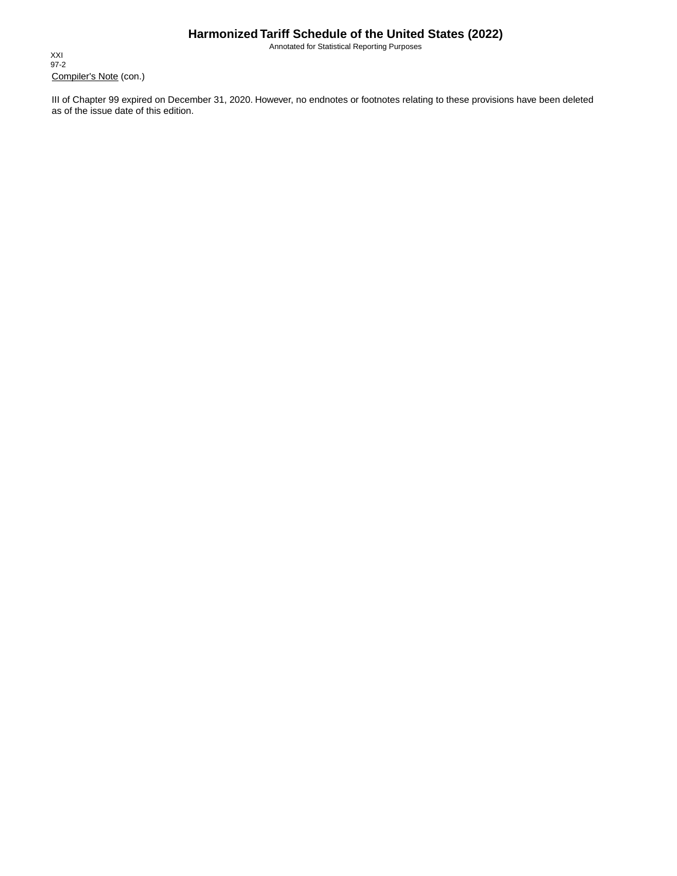Annotated for Statistical Reporting Purposes

Compiler's Note (con.) XXI 97-2

III of Chapter 99 expired on December 31, 2020. However, no endnotes or footnotes relating to these provisions have been deleted as of the issue date of this edition.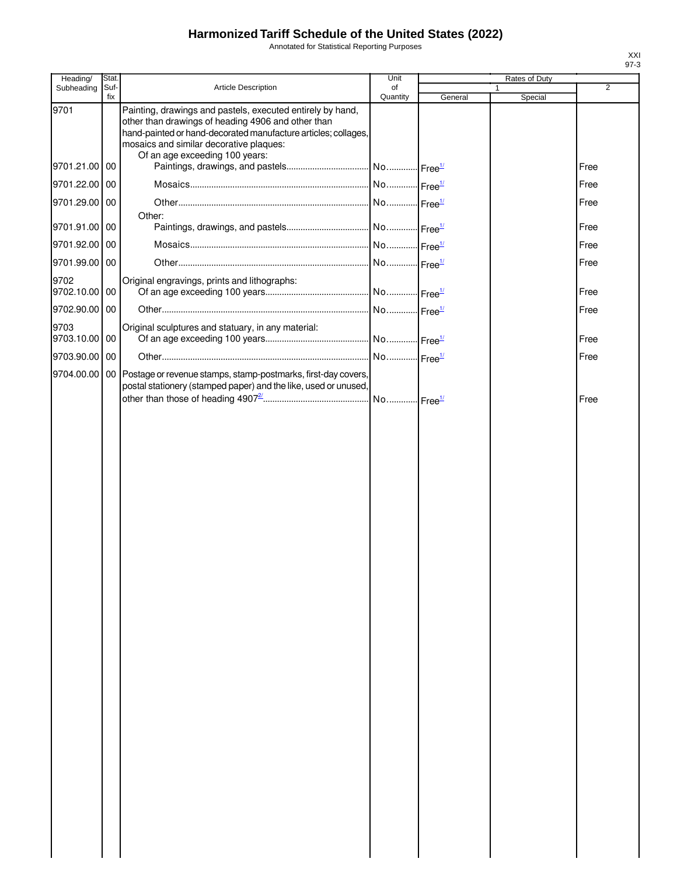Annotated for Statistical Reporting Purposes

| Heading/              | Stat.       |                                                                                                                                                                                                                                                                 | Unit           |         | Rates of Duty |                |
|-----------------------|-------------|-----------------------------------------------------------------------------------------------------------------------------------------------------------------------------------------------------------------------------------------------------------------|----------------|---------|---------------|----------------|
| Subheading            | Suf-<br>fix | Article Description                                                                                                                                                                                                                                             | of<br>Quantity | General | Special       | $\overline{2}$ |
| 9701<br>9701.21.00 00 |             | Painting, drawings and pastels, executed entirely by hand,<br>other than drawings of heading 4906 and other than<br>hand-painted or hand-decorated manufacture articles; collages,<br>mosaics and similar decorative plaques:<br>Of an age exceeding 100 years: |                |         |               | Free           |
|                       |             |                                                                                                                                                                                                                                                                 |                |         |               |                |
| 9701.22.00 00         |             |                                                                                                                                                                                                                                                                 |                |         |               | Free           |
| 9701.29.00 00         |             |                                                                                                                                                                                                                                                                 |                |         |               | Free           |
| 9701.91.00 00         |             | Other:                                                                                                                                                                                                                                                          |                |         |               | Free           |
| 9701.92.00 00         |             |                                                                                                                                                                                                                                                                 |                |         |               | Free           |
| 9701.99.00 00         |             |                                                                                                                                                                                                                                                                 |                |         |               | Free           |
| 9702                  |             | Original engravings, prints and lithographs:                                                                                                                                                                                                                    |                |         |               |                |
| 9702.10.00 00         |             |                                                                                                                                                                                                                                                                 |                |         |               | Free           |
| 9702.90.00 00         |             |                                                                                                                                                                                                                                                                 |                |         |               | Free           |
| 9703                  |             | Original sculptures and statuary, in any material:                                                                                                                                                                                                              |                |         |               |                |
| 9703.10.00 00         |             |                                                                                                                                                                                                                                                                 |                |         |               | Free           |
| 9703.90.00 00         |             |                                                                                                                                                                                                                                                                 |                |         |               | Free           |
|                       |             | 9704.00.00   00   Postage or revenue stamps, stamp-postmarks, first-day covers,<br>postal stationery (stamped paper) and the like, used or unused,                                                                                                              |                |         |               | Free           |
|                       |             |                                                                                                                                                                                                                                                                 |                |         |               |                |

XXI 97-3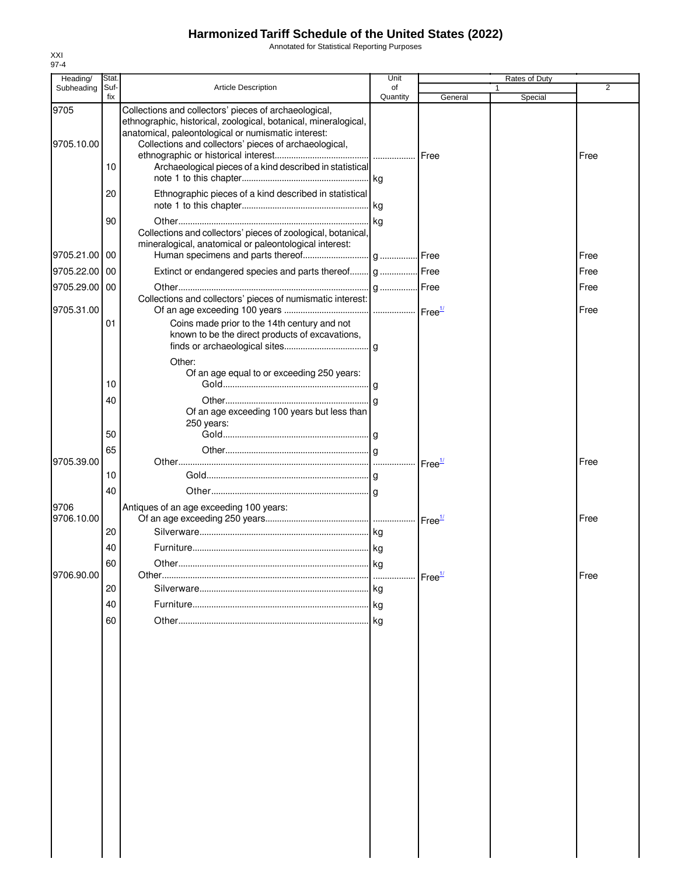Annotated for Statistical Reporting Purposes

| Heading/      | Stat.       |                                                                                                                                                                                 | Unit           |                    | Rates of Duty |      |
|---------------|-------------|---------------------------------------------------------------------------------------------------------------------------------------------------------------------------------|----------------|--------------------|---------------|------|
| Subheading    | Suf-<br>fix | <b>Article Description</b>                                                                                                                                                      | of<br>Quantity | General            | Special       | 2    |
| 9705          |             | Collections and collectors' pieces of archaeological,<br>ethnographic, historical, zoological, botanical, mineralogical,<br>anatomical, paleontological or numismatic interest: |                |                    |               |      |
| 9705.10.00    |             | Collections and collectors' pieces of archaeological,                                                                                                                           |                |                    |               |      |
|               | 10          | Archaeological pieces of a kind described in statistical                                                                                                                        |                |                    |               | Free |
|               |             |                                                                                                                                                                                 |                |                    |               |      |
|               | 20          | Ethnographic pieces of a kind described in statistical                                                                                                                          |                |                    |               |      |
|               | 90          |                                                                                                                                                                                 |                |                    |               |      |
|               |             | Collections and collectors' pieces of zoological, botanical,                                                                                                                    |                |                    |               |      |
| 9705.21.00 00 |             | mineralogical, anatomical or paleontological interest:                                                                                                                          |                |                    |               | Free |
| 9705.22.00    | 00          | Extinct or endangered species and parts thereof g  Free                                                                                                                         |                |                    |               | Free |
| 9705.29.00    |             |                                                                                                                                                                                 |                |                    |               |      |
|               | 00          | Collections and collectors' pieces of numismatic interest:                                                                                                                      |                |                    |               | Free |
| 9705.31.00    |             |                                                                                                                                                                                 |                |                    |               | Free |
|               | 01          | Coins made prior to the 14th century and not                                                                                                                                    |                |                    |               |      |
|               |             | known to be the direct products of excavations,                                                                                                                                 |                |                    |               |      |
|               |             |                                                                                                                                                                                 |                |                    |               |      |
|               |             | Other:<br>Of an age equal to or exceeding 250 years:                                                                                                                            |                |                    |               |      |
|               | 10          |                                                                                                                                                                                 |                |                    |               |      |
|               | 40          |                                                                                                                                                                                 |                |                    |               |      |
|               |             | Of an age exceeding 100 years but less than<br>250 years:                                                                                                                       |                |                    |               |      |
|               | 50          |                                                                                                                                                                                 |                |                    |               |      |
|               | 65          |                                                                                                                                                                                 |                |                    |               |      |
| 9705.39.00    |             |                                                                                                                                                                                 |                |                    |               | Free |
|               | 10          |                                                                                                                                                                                 |                |                    |               |      |
|               | 40          |                                                                                                                                                                                 |                |                    |               |      |
| 9706          |             | Antiques of an age exceeding 100 years:                                                                                                                                         |                |                    |               |      |
| 9706.10.00    |             |                                                                                                                                                                                 |                |                    |               | Free |
|               | 20          |                                                                                                                                                                                 |                |                    |               |      |
|               | 40          |                                                                                                                                                                                 |                |                    |               |      |
| 9706.90.00    | 60          |                                                                                                                                                                                 |                |                    |               | Free |
|               | 20          |                                                                                                                                                                                 | l ka           | Free <sup>1/</sup> |               |      |
|               | 40          |                                                                                                                                                                                 |                |                    |               |      |
|               |             |                                                                                                                                                                                 |                |                    |               |      |
|               | 60          |                                                                                                                                                                                 |                |                    |               |      |
|               |             |                                                                                                                                                                                 |                |                    |               |      |
|               |             |                                                                                                                                                                                 |                |                    |               |      |
|               |             |                                                                                                                                                                                 |                |                    |               |      |
|               |             |                                                                                                                                                                                 |                |                    |               |      |
|               |             |                                                                                                                                                                                 |                |                    |               |      |
|               |             |                                                                                                                                                                                 |                |                    |               |      |
|               |             |                                                                                                                                                                                 |                |                    |               |      |
|               |             |                                                                                                                                                                                 |                |                    |               |      |
|               |             |                                                                                                                                                                                 |                |                    |               |      |
|               |             |                                                                                                                                                                                 |                |                    |               |      |
|               |             |                                                                                                                                                                                 |                |                    |               |      |
|               |             |                                                                                                                                                                                 |                |                    |               |      |
|               |             |                                                                                                                                                                                 |                |                    |               |      |
|               |             |                                                                                                                                                                                 |                |                    |               |      |
|               |             |                                                                                                                                                                                 |                |                    |               |      |
|               |             |                                                                                                                                                                                 |                |                    |               |      |

XXI 97-4